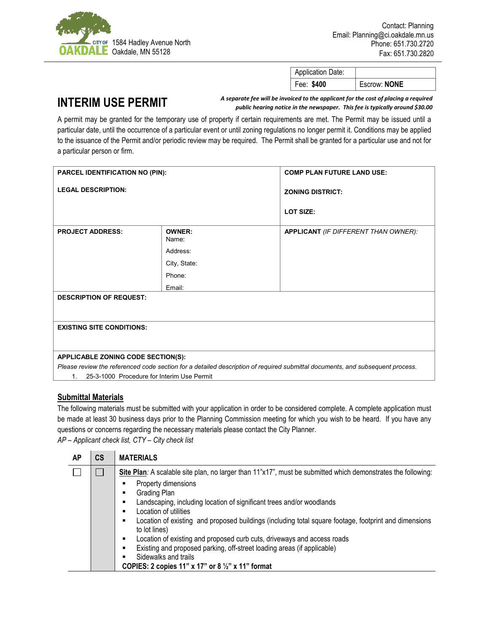

| <b>Application Date:</b> |              |
|--------------------------|--------------|
| Fee: \$400               | Escrow: NONE |

## **INTERIM USE PERMIT**

*A separate fee will be invoiced to the applicant for the cost of placing a required public hearing notice in the newspaper. This fee is typically around \$30.00*

A permit may be granted for the temporary use of property if certain requirements are met. The Permit may be issued until a particular date, until the occurrence of a particular event or until zoning regulations no longer permit it. Conditions may be applied to the issuance of the Permit and/or periodic review may be required. The Permit shall be granted for a particular use and not for a particular person or firm.

| PARCEL IDENTIFICATION NO (PIN):                                                                                                                                             |                        | <b>COMP PLAN FUTURE LAND USE:</b>    |
|-----------------------------------------------------------------------------------------------------------------------------------------------------------------------------|------------------------|--------------------------------------|
| <b>LEGAL DESCRIPTION:</b>                                                                                                                                                   |                        | <b>ZONING DISTRICT:</b>              |
|                                                                                                                                                                             |                        | <b>LOT SIZE:</b>                     |
| <b>PROJECT ADDRESS:</b>                                                                                                                                                     | <b>OWNER:</b><br>Name: | APPLICANT (IF DIFFERENT THAN OWNER): |
|                                                                                                                                                                             | Address:               |                                      |
|                                                                                                                                                                             | City, State:           |                                      |
|                                                                                                                                                                             | Phone:                 |                                      |
|                                                                                                                                                                             | Email:                 |                                      |
| <b>DESCRIPTION OF REQUEST:</b>                                                                                                                                              |                        |                                      |
|                                                                                                                                                                             |                        |                                      |
| <b>EXISTING SITE CONDITIONS:</b>                                                                                                                                            |                        |                                      |
|                                                                                                                                                                             |                        |                                      |
|                                                                                                                                                                             |                        |                                      |
| APPLICABLE ZONING CODE SECTION(S):                                                                                                                                          |                        |                                      |
| Please review the referenced code section for a detailed description of required submittal documents, and subsequent process.<br>25-3-1000 Procedure for Interim Use Permit |                        |                                      |
| 1.                                                                                                                                                                          |                        |                                      |

## **Submittal Materials**

The following materials must be submitted with your application in order to be considered complete. A complete application must be made at least 30 business days prior to the Planning Commission meeting for which you wish to be heard. If you have any questions or concerns regarding the necessary materials please contact the City Planner.

*AP – Applicant check list, CTY – City check list*

| АP | CS | <b>MATERIALS</b>                                                                                                            |  |
|----|----|-----------------------------------------------------------------------------------------------------------------------------|--|
|    |    | Site Plan: A scalable site plan, no larger than 11"x17", must be submitted which demonstrates the following:                |  |
|    |    | Property dimensions                                                                                                         |  |
|    |    | Grading Plan<br>$\blacksquare$                                                                                              |  |
|    |    | Landscaping, including location of significant trees and/or woodlands<br>$\blacksquare$                                     |  |
|    |    | Location of utilities<br>$\blacksquare$                                                                                     |  |
|    |    | Location of existing and proposed buildings (including total square footage, footprint and dimensions<br>٠<br>to lot lines) |  |
|    |    | Location of existing and proposed curb cuts, driveways and access roads<br>٠                                                |  |
|    |    | Existing and proposed parking, off-street loading areas (if applicable)<br>$\blacksquare$                                   |  |
|    |    | Sidewalks and trails<br>$\blacksquare$                                                                                      |  |
|    |    | COPIES: 2 copies 11" x 17" or 8 $\frac{1}{2}$ " x 11" format                                                                |  |